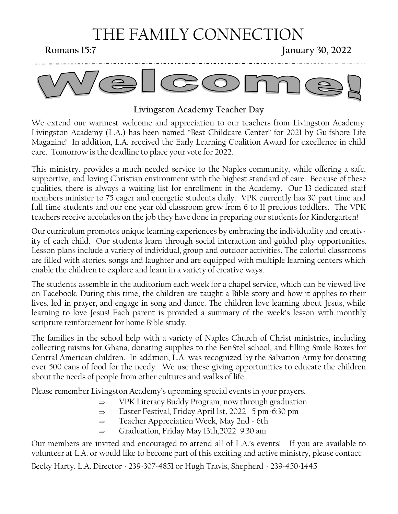# THE FAMILY CONNECTION

**Romans 15:7** January 30, 2022



#### **Livingston Academy Teacher Day**

We extend our warmest welcome and appreciation to our teachers from Livingston Academy. Livingston Academy (L.A.) has been named "Best Childcare Center" for 2021 by Gulfshore Life Magazine! In addition, L.A. received the Early Learning Coalition Award for excellence in child care. Tomorrow is the deadline to place your vote for 2022.

This ministry. provides a much needed service to the Naples community, while offering a safe, supportive, and loving Christian environment with the highest standard of care. Because of these qualities, there is always a waiting list for enrollment in the Academy. Our 13 dedicated staff members minister to 75 eager and energetic students daily. VPK currently has 30 part time and full time students and our one year old classroom grew from 6 to 11 precious toddlers. The VPK teachers receive accolades on the job they have done in preparing our students for Kindergarten!

Our curriculum promotes unique learning experiences by embracing the individuality and creativity of each child. Our students learn through social interaction and guided play opportunities. Lesson plans include a variety of individual, group and outdoor activities. The colorful classrooms are filled with stories, songs and laughter and are equipped with multiple learning centers which enable the children to explore and learn in a variety of creative ways.

The students assemble in the auditorium each week for a chapel service, which can be viewed live on Facebook. During this time, the children are taught a Bible story and how it applies to their lives, led in prayer, and engage in song and dance. The children love learning about Jesus, while learning to love Jesus! Each parent is provided a summary of the week's lesson with monthly scripture reinforcement for home Bible study.

The families in the school help with a variety of Naples Church of Christ ministries, including collecting raisins for Ghana, donating supplies to the BenStel school, and filling Smile Boxes for Central American children. In addition, L.A. was recognized by the Salvation Army for donating over 500 cans of food for the needy. We use these giving opportunities to educate the children about the needs of people from other cultures and walks of life.

Please remember Livingston Academy's upcoming special events in your prayers,

- $\Rightarrow$  VPK Literacy Buddy Program, now through graduation
- $\Rightarrow$  Easter Festival, Friday April 1st, 2022 5 pm -6:30 pm
- $\Rightarrow$  Teacher Appreciation Week, May 2nd 6th
- $\Rightarrow$  Graduation, Friday May 13th,2022 9:30 am

Our members are invited and encouraged to attend all of L.A.'s events! If you are available to volunteer at L.A. or would like to become part of this exciting and active ministry, please contact:

Becky Harty, L.A. Director - 239-307-4851 or Hugh Travis, Shepherd - 239-450-1445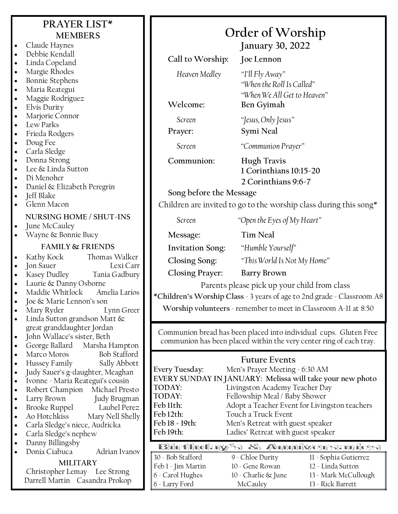|                                                               | PRAYER LIST*<br><b>MEMBERS</b>                                                                |                                              | Order of Worship                                                                                                                         |  |
|---------------------------------------------------------------|-----------------------------------------------------------------------------------------------|----------------------------------------------|------------------------------------------------------------------------------------------------------------------------------------------|--|
| $\bullet$<br>$\bullet$                                        | Claude Haynes<br>Debbie Kendall                                                               |                                              | <b>January 30, 2022</b>                                                                                                                  |  |
| $\bullet$                                                     | Linda Copeland                                                                                | Call to Worship:                             | Joe Lennon                                                                                                                               |  |
| $\bullet$<br>$\bullet$<br>$\bullet$<br>$\bullet$<br>$\bullet$ | Margie Rhodes<br><b>Bonnie Stephens</b><br>Maria Reategui<br>Maggie Rodriguez<br>Elvis Durity | Heaven Medley<br>Welcome:                    | "I'll Fly Away"<br>"When the Roll Is Called"<br>"When We All Get to Heaven"<br>Ben Gyimah                                                |  |
| $\bullet$                                                     | Marjorie Connor                                                                               | Screen                                       | "Jesus, Only Jesus"                                                                                                                      |  |
| $\bullet$<br>$\bullet$                                        | Lew Parks<br>Frieda Rodgers                                                                   | Prayer:                                      | Symi Neal                                                                                                                                |  |
| $\bullet$<br>$\bullet$                                        | Doug Fee<br>Carla Sledge                                                                      | Screen                                       | "Communion Prayer"                                                                                                                       |  |
| $\bullet$<br>$\bullet$<br>$\bullet$                           | Donna Strong<br>Lee & Linda Sutton<br>Di Menoher                                              | Communion:                                   | <b>Hugh Travis</b><br>1 Corinthians 10:15-20<br>2 Corinthians 9:6-7                                                                      |  |
| $\bullet$                                                     | Daniel & Elizabeth Peregrin<br>Jeff Blake                                                     | Song before the Message                      |                                                                                                                                          |  |
| $\bullet$<br>$\bullet$                                        | Glenn Macon                                                                                   |                                              | Children are invited to go to the worship class during this song*                                                                        |  |
| $\bullet$                                                     | NURSING HOME / SHUT-INS<br>June McCauley                                                      | Screen                                       | "Open the Eyes of My Heart"                                                                                                              |  |
|                                                               | Wayne & Bonnie Bucy                                                                           | Message:                                     | <b>Tim Neal</b>                                                                                                                          |  |
|                                                               | <b>FAMILY &amp; FRIENDS</b>                                                                   | <b>Invitation Song:</b>                      | "Humble Yourself"                                                                                                                        |  |
| $\bullet$                                                     | Kathy Kock<br>Thomas Walker                                                                   | Closing Song:                                | "This World Is Not My Home"                                                                                                              |  |
| $\bullet$                                                     | Jon Sauer<br>Lexi Carr                                                                        | <b>Closing Prayer:</b>                       | <b>Barry Brown</b>                                                                                                                       |  |
| $\bullet$<br>$\bullet$                                        | Kasey Dudley<br>Tania Gadbury<br>Laurie & Danny Osborne                                       | Parents please pick up your child from class |                                                                                                                                          |  |
| $\bullet$                                                     | Maddie Whitlock<br>Amelia Larios                                                              |                                              | *Children's Worship Class - 3 years of age to 2nd grade - Classroom A8                                                                   |  |
| $\bullet$<br>$\bullet$<br>$\bullet$                           | Joe & Marie Lennon's son<br>Lynn Greer<br>Mary Ryder<br>Linda Sutton grandson Matt &          |                                              | Worship volunteers - remember to meet in Classroom A-11 at 8:50                                                                          |  |
| $\bullet$<br>$\bullet$                                        | great granddaughter Jordan<br>John Wallace's sister, Beth<br>Marsha Hampton<br>George Ballard |                                              | Communion bread has been placed into individual cups. Gluten Free<br>communion has been placed within the very center ring of each tray. |  |
| $\bullet$<br>$\bullet$                                        | <b>Bob Stafford</b><br>Marco Moros<br>Hussey Family<br>Sally Abbott                           |                                              | <b>Future Events</b>                                                                                                                     |  |
| $\bullet$                                                     | Judy Sauer's g-daughter, Meaghan                                                              | Every Tuesday:                               | Men's Prayer Meeting - 6:30 AM                                                                                                           |  |
| $\bullet$                                                     | Ivonne - Maria Reategui's cousin                                                              | TODAY:                                       | EVERY SUNDAY IN JANUARY: Melissa will take your new photo<br>Livingston Academy Teacher Day                                              |  |
| $\bullet$<br>$\bullet$                                        | Robert Champion Michael Presto<br>Larry Brown<br>Judy Brugman                                 | TODAY:                                       | Fellowship Meal / Baby Shower                                                                                                            |  |
| $\bullet$                                                     | Brooke Ruppel<br>Laubel Perez                                                                 | Feb 11th:                                    | Adopt a Teacher Event for Livingston teachers                                                                                            |  |
| $\bullet$                                                     | Ao Hotchkiss<br>Mary Nell Shelly                                                              | Feb 12th:<br>Feb 18 - 19th:                  | Touch a Truck Event                                                                                                                      |  |
| $\bullet$<br>$\bullet$                                        | Carla Sledge's niece, Audricka<br>Carla Sledge's nephew                                       | Feb 19th:                                    | Men's Retreat with guest speaker<br>Ladies' Retreat with guest speaker                                                                   |  |
| $\bullet$                                                     | Danny Billingsby                                                                              |                                              |                                                                                                                                          |  |
| $\bullet$                                                     | Donia Ciabuca<br>Adrian Ivanov                                                                | 30 - Bob Stafford                            | Birthday's & Anniversaries<br>9 - Chloe Durity<br>11 - Sophia Gutierrez                                                                  |  |
|                                                               | <b>MILITARY</b>                                                                               | Feb 1 - Jim Martin                           | 10 - Gene Rowan<br>12 - Linda Sutton                                                                                                     |  |
|                                                               | Christopher Lemay Lee Strong<br>Darrell Martin Casandra Prokop                                | 6 - Carol Hughes                             | 10 - Charlie & June<br>13 - Mark McCullough                                                                                              |  |
|                                                               |                                                                                               | 6 - Larry Ford                               | 13 - Rick Barrett<br>McCauley                                                                                                            |  |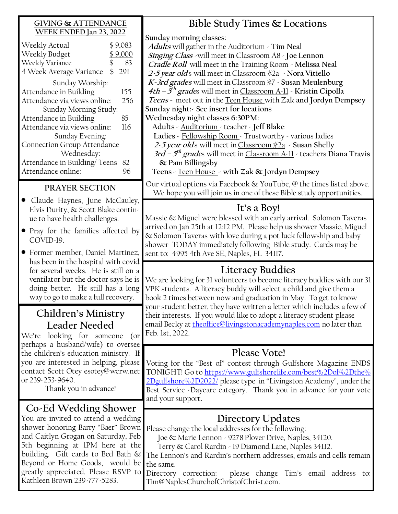#### **GIVING & ATTENDANCE WEEK ENDED Jan 23, 2022**

| Weekly Actual                      | \$9,083   |  |  |  |
|------------------------------------|-----------|--|--|--|
| Weekly Budget                      | \$9,000   |  |  |  |
| \$<br>Weekly Variance              |           |  |  |  |
| 4 Week Average Variance            | \$<br>291 |  |  |  |
| Sunday Worship:                    |           |  |  |  |
| Attendance in Building             | 155       |  |  |  |
| Attendance via views online:       | 256       |  |  |  |
| Sunday Morning Study:              |           |  |  |  |
| Attendance in Building             | 85        |  |  |  |
| Attendance via views online:       | 116       |  |  |  |
| Sunday Evening:                    |           |  |  |  |
| <b>Connection Group Attendance</b> |           |  |  |  |
| Wednesday:                         |           |  |  |  |
| Attendance in Building/Teens       |           |  |  |  |
| Attendance online:                 |           |  |  |  |
|                                    |           |  |  |  |

#### **PRAYER SECTION**

- Claude Haynes, June McCauley, Elvis Durity, & Scott Blake continue to have health challenges.
- Pray for the families affected by COVID-19.
- Former member, Daniel Martinez, has been in the hospital with covid for several weeks. He is still on a ventilator but the doctor says he is doing better. He still has a long way to go to make a full recovery.

### **Children's Ministry Leader Needed**

We're looking for someone (or perhaps a husband/wife) to oversee the children's education ministry. If you are interested in helping, please contact Scott Otey esotey@wcrw.net or 239-253-9640.

Thank you in advance!

### **Co-Ed Wedding Shower**

You are invited to attend a wedding shower honoring Barry "Baer" Brown and Caitlyn Grogan on Saturday, Feb 5th beginning at 1PM here at the building. Gift cards to Bed Bath & Beyond or Home Goods, would be greatly appreciated. Please RSVP to Kathleen Brown 239-777-5283.

### **Bible Study Times & Locations**

**Sunday morning classes:**

**Adults** will gather in the Auditorium - **Tim Neal Singing Class -**will meet in Classroom A8 - **Joe Lennon Cradle Roll** will meet in the Training Room - **Melissa Neal 2-5 year old**s will meet in Classroom #2a - **Nora Vitiello K-3rd grades** will meet in Classroom #7 - **Susan Meulenburg 4th – 5 th grade**s will meet in Classroom A-11 - **Kristin Cipolla Teens -** meet out in the Teen House with **Zak and Jordyn Dempsey Sunday night:- See insert for locations Wednesday night classes 6:30PM:**

**Adults** - Auditorium - teacher - **Jeff Blake** 

**Ladies -** Fellowship Room - Trustworthy - various ladies

**2-5 year old**s will meet in Classroom #2a - **Susan Shelly**

**3rd – 5 th grade**s will meet in Classroom A-11 - teachers **Diana Travis & Pam Billingsby** 

**Teens** - Teen House - **with Zak & Jordyn Dempsey**

Our virtual options via Facebook & YouTube, @ the times listed above. We hope you will join us in one of these Bible study opportunities.

### **It's a Boy!**

Massie & Miguel were blessed with an early arrival. Solomon Taveras arrived on Jan 25th at 12:12 PM. Please help us shower Massie, Miguel & Solomon Taveras with love during a pot luck fellowship and baby shower TODAY immediately following Bible study. Cards may be sent to: 4995 4th Ave SE, Naples, FL 34117.

### **Literacy Buddies**

We are looking for 31 volunteers to become literacy buddies with our 31 VPK students. A literacy buddy will select a child and give them a book 2 times between now and graduation in May. To get to know your student better, they have written a letter which includes a few of their interests. If you would like to adopt a literacy student please email Becky at [theoffice@livingstonacademynaples.com](mailto:theoffice@livingstonacademynaples.com) no later than Feb. 1st, 2022.

### **Please Vote!**

Voting for the "Best of" contest through Gulfshore Magazine ENDS TONIGHT! Go to [https://www.gulfshorelife.com/best%2Dof%2Dthe%](https://www.gulfshorelife.com/best%2Dof%2Dthe%2Dgulfshore%2D2022/) [2Dgulfshore%2D2022/](https://www.gulfshorelife.com/best%2Dof%2Dthe%2Dgulfshore%2D2022/) please type in "Livingston Academy", under the Best Service -Daycare category. Thank you in advance for your vote and your support.

### **Directory Updates**

Please change the local addresses for the following:

Joe & Marie Lennon - 9278 Plover Drive, Naples, 34120.

Terry & Carol Rardin - 19 Diamond Lane, Naples 34112.

The Lennon's and Rardin's northern addresses, emails and cells remain the same.

Directory correction: please change Tim's email address to: Tim@NaplesChurchofChristofChrist.com.